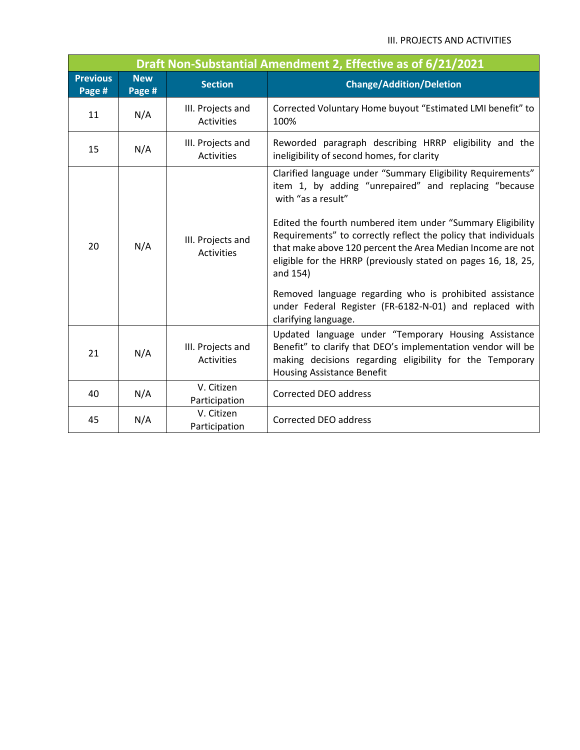## III. PROJECTS AND ACTIVITIES

| Draft Non-Substantial Amendment 2, Effective as of 6/21/2021 |                      |                                        |                                                                                                                                                                                                                                                                                                                                                                                                                                                                                                                                                                     |  |  |  |  |  |  |
|--------------------------------------------------------------|----------------------|----------------------------------------|---------------------------------------------------------------------------------------------------------------------------------------------------------------------------------------------------------------------------------------------------------------------------------------------------------------------------------------------------------------------------------------------------------------------------------------------------------------------------------------------------------------------------------------------------------------------|--|--|--|--|--|--|
| <b>Previous</b><br>Page #                                    | <b>New</b><br>Page # | <b>Section</b>                         | <b>Change/Addition/Deletion</b>                                                                                                                                                                                                                                                                                                                                                                                                                                                                                                                                     |  |  |  |  |  |  |
| 11                                                           | N/A                  | III. Projects and<br>Activities        | Corrected Voluntary Home buyout "Estimated LMI benefit" to<br>100%                                                                                                                                                                                                                                                                                                                                                                                                                                                                                                  |  |  |  |  |  |  |
| 15                                                           | N/A                  | III. Projects and<br><b>Activities</b> | Reworded paragraph describing HRRP eligibility and the<br>ineligibility of second homes, for clarity                                                                                                                                                                                                                                                                                                                                                                                                                                                                |  |  |  |  |  |  |
| 20                                                           | N/A                  | III. Projects and<br><b>Activities</b> | Clarified language under "Summary Eligibility Requirements"<br>item 1, by adding "unrepaired" and replacing "because<br>with "as a result"<br>Edited the fourth numbered item under "Summary Eligibility<br>Requirements" to correctly reflect the policy that individuals<br>that make above 120 percent the Area Median Income are not<br>eligible for the HRRP (previously stated on pages 16, 18, 25,<br>and 154)<br>Removed language regarding who is prohibited assistance<br>under Federal Register (FR-6182-N-01) and replaced with<br>clarifying language. |  |  |  |  |  |  |
| 21                                                           | N/A                  | III. Projects and<br><b>Activities</b> | Updated language under "Temporary Housing Assistance<br>Benefit" to clarify that DEO's implementation vendor will be<br>making decisions regarding eligibility for the Temporary<br><b>Housing Assistance Benefit</b>                                                                                                                                                                                                                                                                                                                                               |  |  |  |  |  |  |
| 40                                                           | N/A                  | V. Citizen<br>Participation            | Corrected DEO address                                                                                                                                                                                                                                                                                                                                                                                                                                                                                                                                               |  |  |  |  |  |  |
| 45                                                           | N/A                  | V. Citizen<br>Participation            | Corrected DEO address                                                                                                                                                                                                                                                                                                                                                                                                                                                                                                                                               |  |  |  |  |  |  |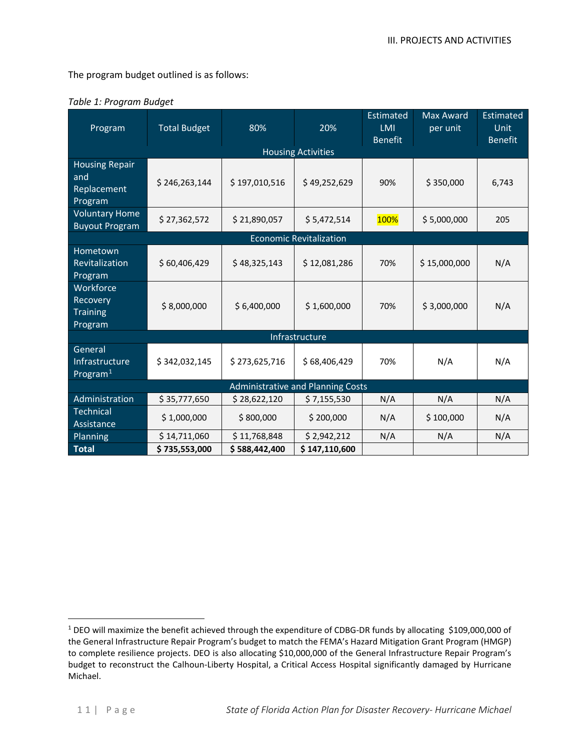The program budget outlined is as follows:

| Program                                                | <b>Total Budget</b> | 80%           | 20%           | Estimated<br><b>LMI</b><br><b>Benefit</b> | <b>Max Award</b><br>per unit | <b>Estimated</b><br><b>Unit</b><br><b>Benefit</b> |  |  |  |  |
|--------------------------------------------------------|---------------------|---------------|---------------|-------------------------------------------|------------------------------|---------------------------------------------------|--|--|--|--|
| <b>Housing Activities</b>                              |                     |               |               |                                           |                              |                                                   |  |  |  |  |
| <b>Housing Repair</b><br>and<br>Replacement<br>Program | \$246,263,144       | \$197,010,516 | \$49,252,629  | 90%                                       | \$350,000                    | 6,743                                             |  |  |  |  |
| <b>Voluntary Home</b><br><b>Buyout Program</b>         | \$27,362,572        | \$21,890,057  | \$5,472,514   | 100%                                      | \$5,000,000                  | 205                                               |  |  |  |  |
| <b>Economic Revitalization</b>                         |                     |               |               |                                           |                              |                                                   |  |  |  |  |
| <b>Hometown</b><br>Revitalization<br>Program           | \$60,406,429        | \$48,325,143  | \$12,081,286  | 70%                                       | \$15,000,000                 | N/A                                               |  |  |  |  |
| Workforce<br>Recovery<br><b>Training</b><br>Program    | \$8,000,000         | \$6,400,000   | \$1,600,000   | 70%                                       | \$3,000,000                  | N/A                                               |  |  |  |  |
| Infrastructure                                         |                     |               |               |                                           |                              |                                                   |  |  |  |  |
| General<br>Infrastructure<br>Program $1$               | \$342,032,145       | \$273,625,716 | \$68,406,429  | 70%                                       | N/A                          | N/A                                               |  |  |  |  |
| <b>Administrative and Planning Costs</b>               |                     |               |               |                                           |                              |                                                   |  |  |  |  |
| Administration                                         | \$35,777,650        | \$28,622,120  | \$7,155,530   | N/A                                       | N/A                          | N/A                                               |  |  |  |  |
| Technical<br>Assistance                                | \$1,000,000         | \$800,000     | \$200,000     | N/A                                       | \$100,000                    | N/A                                               |  |  |  |  |
| Planning                                               | \$14,711,060        | \$11,768,848  | \$2,942,212   | N/A                                       | N/A                          | N/A                                               |  |  |  |  |
| <b>Total</b>                                           | \$735,553,000       | \$588,442,400 | \$147,110,600 |                                           |                              |                                                   |  |  |  |  |

## *Table 1: Program Budget*

<span id="page-1-0"></span><sup>&</sup>lt;sup>1</sup> DEO will maximize the benefit achieved through the expenditure of CDBG-DR funds by allocating \$109,000,000 of the General Infrastructure Repair Program's budget to match the FEMA's Hazard Mitigation Grant Program (HMGP) to complete resilience projects. DEO is also allocating \$10,000,000 of the General Infrastructure Repair Program's budget to reconstruct the Calhoun-Liberty Hospital, a Critical Access Hospital significantly damaged by Hurricane Michael.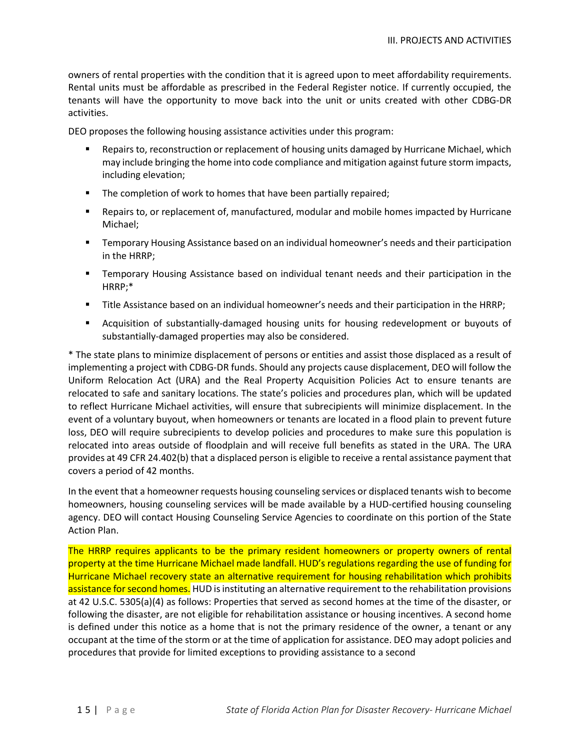owners of rental properties with the condition that it is agreed upon to meet affordability requirements. Rental units must be affordable as prescribed in the Federal Register notice. If currently occupied, the tenants will have the opportunity to move back into the unit or units created with other CDBG-DR activities.

DEO proposes the following housing assistance activities under this program:

- Repairs to, reconstruction or replacement of housing units damaged by Hurricane Michael, which may include bringing the home into code compliance and mitigation against future storm impacts, including elevation;
- The completion of work to homes that have been partially repaired;
- Repairs to, or replacement of, manufactured, modular and mobile homes impacted by Hurricane Michael;
- **Temporary Housing Assistance based on an individual homeowner's needs and their participation** in the HRRP;
- Temporary Housing Assistance based on individual tenant needs and their participation in the HRRP;\*
- Title Assistance based on an individual homeowner's needs and their participation in the HRRP;
- Acquisition of substantially-damaged housing units for housing redevelopment or buyouts of substantially-damaged properties may also be considered.

\* The state plans to minimize displacement of persons or entities and assist those displaced as a result of implementing a project with CDBG-DR funds. Should any projects cause displacement, DEO will follow the Uniform Relocation Act (URA) and the Real Property Acquisition Policies Act to ensure tenants are relocated to safe and sanitary locations. The state's policies and procedures plan, which will be updated to reflect Hurricane Michael activities, will ensure that subrecipients will minimize displacement. In the event of a voluntary buyout, when homeowners or tenants are located in a flood plain to prevent future loss, DEO will require subrecipients to develop policies and procedures to make sure this population is relocated into areas outside of floodplain and will receive full benefits as stated in the URA. The URA provides at 49 CFR 24.402(b) that a displaced person is eligible to receive a rental assistance payment that covers a period of 42 months.

In the event that a homeowner requests housing counseling services or displaced tenants wish to become homeowners, housing counseling services will be made available by a HUD-certified housing counseling agency. DEO will contact Housing Counseling Service Agencies to coordinate on this portion of the State Action Plan.

The HRRP requires applicants to be the primary resident homeowners or property owners of rental property at the time Hurricane Michael made landfall. HUD's regulations regarding the use of funding for Hurricane Michael recovery state an alternative requirement for housing rehabilitation which prohibits assistance for second homes. HUD is instituting an alternative requirement to the rehabilitation provisions at 42 U.S.C. 5305(a)(4) as follows: Properties that served as second homes at the time of the disaster, or following the disaster, are not eligible for rehabilitation assistance or housing incentives. A second home is defined under this notice as a home that is not the primary residence of the owner, a tenant or any occupant at the time of the storm or at the time of application for assistance. DEO may adopt policies and procedures that provide for limited exceptions to providing assistance to a second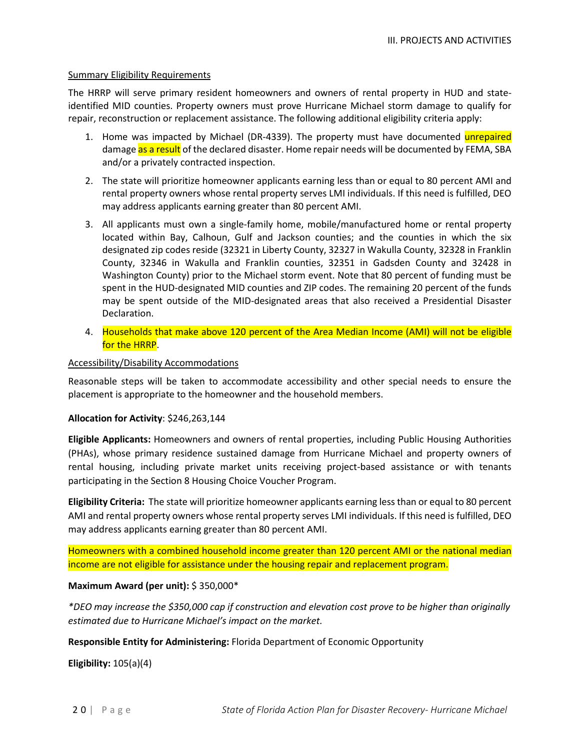### Summary Eligibility Requirements

The HRRP will serve primary resident homeowners and owners of rental property in HUD and stateidentified MID counties. Property owners must prove Hurricane Michael storm damage to qualify for repair, reconstruction or replacement assistance. The following additional eligibility criteria apply:

- 1. Home was impacted by Michael (DR-4339). The property must have documented **unrepaired** damage as a result of the declared disaster. Home repair needs will be documented by FEMA, SBA and/or a privately contracted inspection.
- 2. The state will prioritize homeowner applicants earning less than or equal to 80 percent AMI and rental property owners whose rental property serves LMI individuals. If this need is fulfilled, DEO may address applicants earning greater than 80 percent AMI.
- 3. All applicants must own a single-family home, mobile/manufactured home or rental property located within Bay, Calhoun, Gulf and Jackson counties; and the counties in which the six designated zip codes reside (32321 in Liberty County, 32327 in Wakulla County, 32328 in Franklin County, 32346 in Wakulla and Franklin counties, 32351 in Gadsden County and 32428 in Washington County) prior to the Michael storm event. Note that 80 percent of funding must be spent in the HUD-designated MID counties and ZIP codes. The remaining 20 percent of the funds may be spent outside of the MID-designated areas that also received a Presidential Disaster Declaration.
- 4. Households that make above 120 percent of the Area Median Income (AMI) will not be eligible for the HRRP.

## Accessibility/Disability Accommodations

Reasonable steps will be taken to accommodate accessibility and other special needs to ensure the placement is appropriate to the homeowner and the household members.

#### **Allocation for Activity**: \$246,263,144

**Eligible Applicants:** Homeowners and owners of rental properties, including Public Housing Authorities (PHAs), whose primary residence sustained damage from Hurricane Michael and property owners of rental housing, including private market units receiving project-based assistance or with tenants participating in the Section 8 Housing Choice Voucher Program.

**Eligibility Criteria:** The state will prioritize homeowner applicants earning less than or equal to 80 percent AMI and rental property owners whose rental property serves LMI individuals. If this need is fulfilled, DEO may address applicants earning greater than 80 percent AMI.

Homeowners with a combined household income greater than 120 percent AMI or the national median income are not eligible for assistance under the housing repair and replacement program.

## **Maximum Award (per unit):** \$ 350,000\*

*\*DEO may increase the \$350,000 cap if construction and elevation cost prove to be higher than originally estimated due to Hurricane Michael's impact on the market.*

## **Responsible Entity for Administering:** Florida Department of Economic Opportunity

**Eligibility:** 105(a)(4)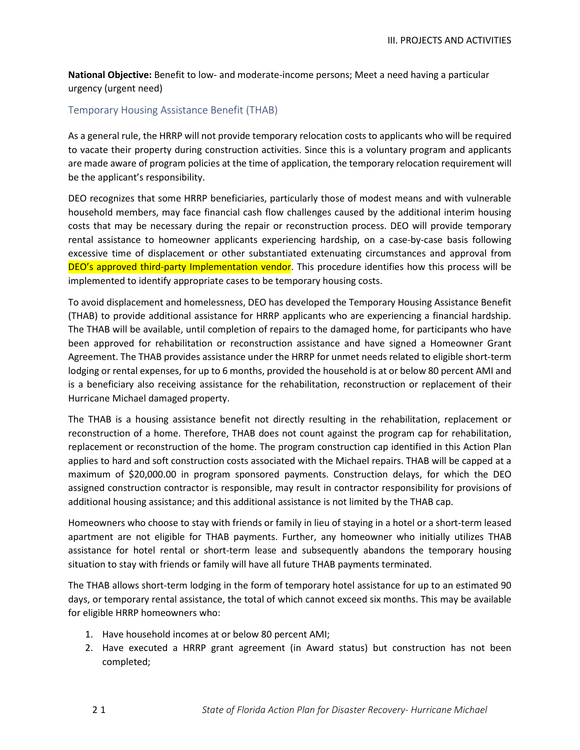**National Objective:** Benefit to low- and moderate-income persons; Meet a need having a particular urgency (urgent need)

## Temporary Housing Assistance Benefit (THAB)

As a general rule, the HRRP will not provide temporary relocation costs to applicants who will be required to vacate their property during construction activities. Since this is a voluntary program and applicants are made aware of program policies at the time of application, the temporary relocation requirement will be the applicant's responsibility.

DEO recognizes that some HRRP beneficiaries, particularly those of modest means and with vulnerable household members, may face financial cash flow challenges caused by the additional interim housing costs that may be necessary during the repair or reconstruction process. DEO will provide temporary rental assistance to homeowner applicants experiencing hardship, on a case-by-case basis following excessive time of displacement or other substantiated extenuating circumstances and approval from DEO's approved third-party Implementation vendor. This procedure identifies how this process will be implemented to identify appropriate cases to be temporary housing costs.

To avoid displacement and homelessness, DEO has developed the Temporary Housing Assistance Benefit (THAB) to provide additional assistance for HRRP applicants who are experiencing a financial hardship. The THAB will be available, until completion of repairs to the damaged home, for participants who have been approved for rehabilitation or reconstruction assistance and have signed a Homeowner Grant Agreement. The THAB provides assistance under the HRRP for unmet needs related to eligible short-term lodging or rental expenses, for up to 6 months, provided the household is at or below 80 percent AMI and is a beneficiary also receiving assistance for the rehabilitation, reconstruction or replacement of their Hurricane Michael damaged property.

The THAB is a housing assistance benefit not directly resulting in the rehabilitation, replacement or reconstruction of a home. Therefore, THAB does not count against the program cap for rehabilitation, replacement or reconstruction of the home. The program construction cap identified in this Action Plan applies to hard and soft construction costs associated with the Michael repairs. THAB will be capped at a maximum of \$20,000.00 in program sponsored payments. Construction delays, for which the DEO assigned construction contractor is responsible, may result in contractor responsibility for provisions of additional housing assistance; and this additional assistance is not limited by the THAB cap.

Homeowners who choose to stay with friends or family in lieu of staying in a hotel or a short-term leased apartment are not eligible for THAB payments. Further, any homeowner who initially utilizes THAB assistance for hotel rental or short-term lease and subsequently abandons the temporary housing situation to stay with friends or family will have all future THAB payments terminated.

The THAB allows short-term lodging in the form of temporary hotel assistance for up to an estimated 90 days, or temporary rental assistance, the total of which cannot exceed six months. This may be available for eligible HRRP homeowners who:

- 1. Have household incomes at or below 80 percent AMI;
- 2. Have executed a HRRP grant agreement (in Award status) but construction has not been completed;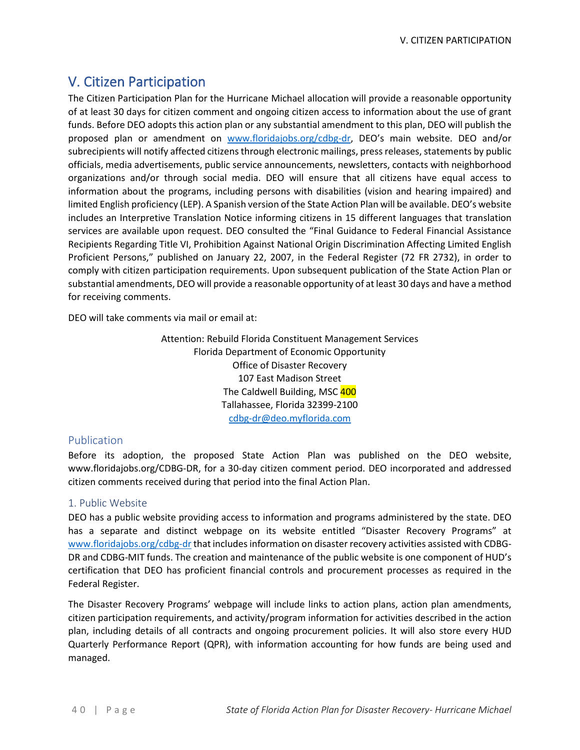# V. Citizen Participation

The Citizen Participation Plan for the Hurricane Michael allocation will provide a reasonable opportunity of at least 30 days for citizen comment and ongoing citizen access to information about the use of grant funds. Before DEO adopts this action plan or any substantial amendment to this plan, DEO will publish the proposed plan or amendment on [www.floridajobs.org/cdbg-dr,](http://www.floridajobs.org/cdbg-dr) DEO's main website. DEO and/or subrecipients will notify affected citizens through electronic mailings, press releases, statements by public officials, media advertisements, public service announcements, newsletters, contacts with neighborhood organizations and/or through social media. DEO will ensure that all citizens have equal access to information about the programs, including persons with disabilities (vision and hearing impaired) and limited English proficiency (LEP). A Spanish version of the State Action Plan will be available. DEO's website includes an Interpretive Translation Notice informing citizens in 15 different languages that translation services are available upon request. DEO consulted the "Final Guidance to Federal Financial Assistance Recipients Regarding Title VI, Prohibition Against National Origin Discrimination Affecting Limited English Proficient Persons," published on January 22, 2007, in the Federal Register (72 FR 2732), in order to comply with citizen participation requirements. Upon subsequent publication of the State Action Plan or substantial amendments, DEO will provide a reasonable opportunity of at least 30 days and have a method for receiving comments.

DEO will take comments via mail or email at:

Attention: Rebuild Florida Constituent Management Services Florida Department of Economic Opportunity Office of Disaster Recovery 107 East Madison Street The Caldwell Building, MSC 400 Tallahassee, Florida 32399-2100 [cdbg-dr@deo.myflorida.com](mailto:cdbg-dr@deo.myflorida.com)

# Publication

Before its adoption, the proposed State Action Plan was published on the DEO website, www.floridajobs.org[/CDBG-DR, f](http://floridajobs.org/news-center/public-notices)or a 30-day citizen comment period. DEO incorporated and addressed citizen comments received during that period into the final Action Plan.

# 1. Public Website

DEO has a public website providing access to information and programs administered by the state. DEO has a separate and distinct webpage on its website entitled "Disaster Recovery Programs" at [www.floridajobs.org/cdbg-dr](http://www.floridajobs.org/cdbg-dr) that includes information on disaster recovery activities assisted with CDBG-DR and CDBG-MIT funds. The creation and maintenance of the public website is one component of HUD's certification that DEO has proficient financial controls and procurement processes as required in the Federal Register.

The Disaster Recovery Programs' webpage will include links to action plans, action plan amendments, citizen participation requirements, and activity/program information for activities described in the action plan, including details of all contracts and ongoing procurement policies. It will also store every HUD Quarterly Performance Report (QPR), with information accounting for how funds are being used and managed.